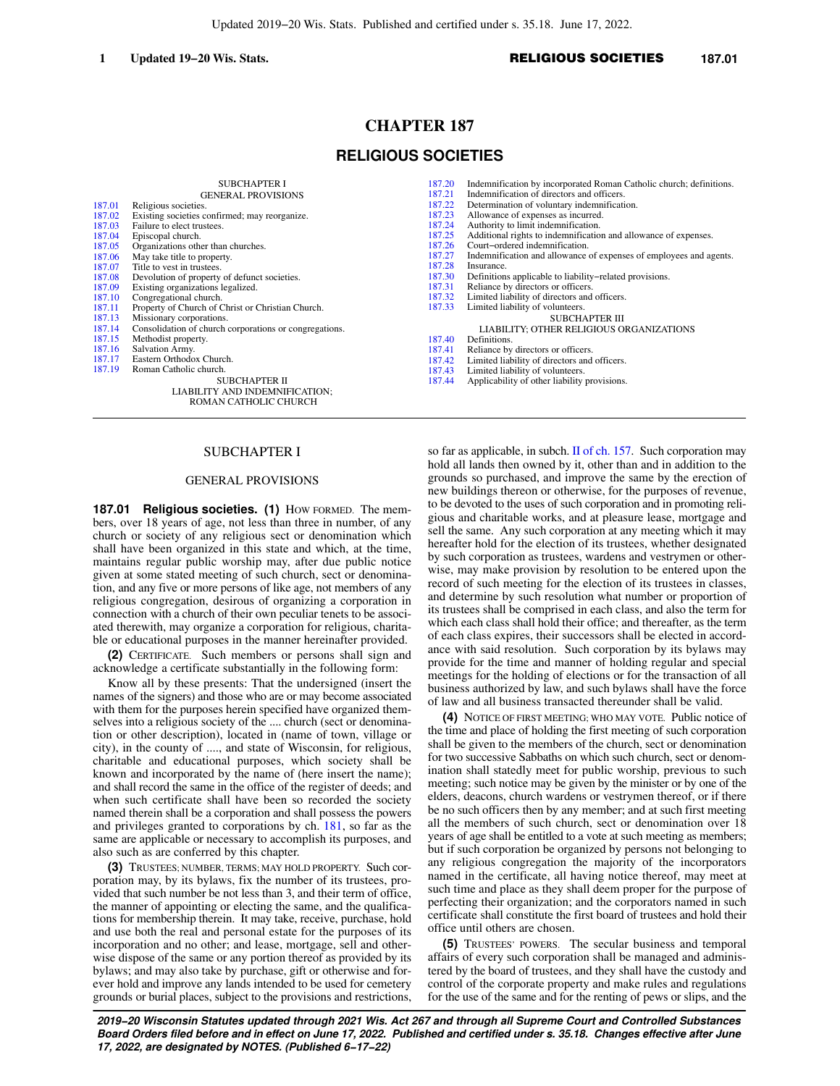# **CHAPTER 187 RELIGIOUS SOCIETIES**

|        | <b>SUBCHAPTER I</b>                                    | 187.20 | Indemnification by incorporated Roman Catholic church; definitions. |
|--------|--------------------------------------------------------|--------|---------------------------------------------------------------------|
|        | <b>GENERAL PROVISIONS</b>                              | 187.21 | Indemnification of directors and officers.                          |
| 187.01 | Religious societies.                                   | 187.22 | Determination of voluntary indemnification.                         |
| 187.02 | Existing societies confirmed; may reorganize.          | 187.23 | Allowance of expenses as incurred.                                  |
| 187.03 | Failure to elect trustees.                             | 187.24 | Authority to limit indemnification.                                 |
| 187.04 | Episcopal church.                                      | 187.25 | Additional rights to indemnification and allowance of expenses.     |
| 187.05 | Organizations other than churches.                     | 187.26 | Court-ordered indemnification.                                      |
| 187.06 | May take title to property.                            | 187.27 | Indemnification and allowance of expenses of employees and agents.  |
| 187.07 | Title to vest in trustees.                             | 187.28 | Insurance.                                                          |
| 187.08 | Devolution of property of defunct societies.           | 187.30 | Definitions applicable to liability-related provisions.             |
| 187.09 | Existing organizations legalized.                      | 187.31 | Reliance by directors or officers.                                  |
| 187.10 | Congregational church.                                 | 187.32 | Limited liability of directors and officers.                        |
| 187.11 | Property of Church of Christ or Christian Church.      | 187.33 | Limited liability of volunteers.                                    |
| 187.13 | Missionary corporations.                               |        | <b>SUBCHAPTER III</b>                                               |
| 187.14 | Consolidation of church corporations or congregations. |        | LIABILITY; OTHER RELIGIOUS ORGANIZATIONS                            |
| 187.15 | Methodist property.                                    | 187.40 | Definitions.                                                        |
| 187.16 | Salvation Army.                                        | 187.41 | Reliance by directors or officers.                                  |
| 187.17 | Eastern Orthodox Church.                               | 187.42 | Limited liability of directors and officers.                        |
| 187.19 | Roman Catholic church.                                 | 187.43 | Limited liability of volunteers.                                    |
|        | <b>SUBCHAPTER II</b>                                   | 187.44 | Applicability of other liability provisions.                        |
|        | LIABILITY AND INDEMNIFICATION;                         |        |                                                                     |
|        | ROMAN CATHOLIC CHURCH                                  |        |                                                                     |

### SUBCHAPTER I

#### GENERAL PROVISIONS

**187.01 Religious societies. (1)** How FORMED. The members, over 18 years of age, not less than three in number, of any church or society of any religious sect or denomination which shall have been organized in this state and which, at the time, maintains regular public worship may, after due public notice given at some stated meeting of such church, sect or denomination, and any five or more persons of like age, not members of any religious congregation, desirous of organizing a corporation in connection with a church of their own peculiar tenets to be associated therewith, may organize a corporation for religious, charitable or educational purposes in the manner hereinafter provided.

**(2)** CERTIFICATE. Such members or persons shall sign and acknowledge a certificate substantially in the following form:

Know all by these presents: That the undersigned (insert the names of the signers) and those who are or may become associated with them for the purposes herein specified have organized themselves into a religious society of the .... church (sect or denomination or other description), located in (name of town, village or city), in the county of ...., and state of Wisconsin, for religious, charitable and educational purposes, which society shall be known and incorporated by the name of (here insert the name); and shall record the same in the office of the register of deeds; and when such certificate shall have been so recorded the society named therein shall be a corporation and shall possess the powers and privileges granted to corporations by ch. [181,](https://docs.legis.wisconsin.gov/document/statutes/ch.%20181) so far as the same are applicable or necessary to accomplish its purposes, and also such as are conferred by this chapter.

**(3)** TRUSTEES; NUMBER, TERMS; MAY HOLD PROPERTY. Such corporation may, by its bylaws, fix the number of its trustees, provided that such number be not less than 3, and their term of office, the manner of appointing or electing the same, and the qualifications for membership therein. It may take, receive, purchase, hold and use both the real and personal estate for the purposes of its incorporation and no other; and lease, mortgage, sell and otherwise dispose of the same or any portion thereof as provided by its bylaws; and may also take by purchase, gift or otherwise and forever hold and improve any lands intended to be used for cemetery grounds or burial places, subject to the provisions and restrictions,

so far as applicable, in subch. [II of ch. 157](https://docs.legis.wisconsin.gov/document/statutes/subch.%20II%20of%20ch.%20157). Such corporation may hold all lands then owned by it, other than and in addition to the grounds so purchased, and improve the same by the erection of new buildings thereon or otherwise, for the purposes of revenue, to be devoted to the uses of such corporation and in promoting religious and charitable works, and at pleasure lease, mortgage and sell the same. Any such corporation at any meeting which it may hereafter hold for the election of its trustees, whether designated by such corporation as trustees, wardens and vestrymen or otherwise, may make provision by resolution to be entered upon the record of such meeting for the election of its trustees in classes, and determine by such resolution what number or proportion of its trustees shall be comprised in each class, and also the term for which each class shall hold their office; and thereafter, as the term of each class expires, their successors shall be elected in accordance with said resolution. Such corporation by its bylaws may provide for the time and manner of holding regular and special meetings for the holding of elections or for the transaction of all business authorized by law, and such bylaws shall have the force of law and all business transacted thereunder shall be valid.

**(4)** NOTICE OF FIRST MEETING; WHO MAY VOTE. Public notice of the time and place of holding the first meeting of such corporation shall be given to the members of the church, sect or denomination for two successive Sabbaths on which such church, sect or denomination shall statedly meet for public worship, previous to such meeting; such notice may be given by the minister or by one of the elders, deacons, church wardens or vestrymen thereof, or if there be no such officers then by any member; and at such first meeting all the members of such church, sect or denomination over 18 years of age shall be entitled to a vote at such meeting as members; but if such corporation be organized by persons not belonging to any religious congregation the majority of the incorporators named in the certificate, all having notice thereof, may meet at such time and place as they shall deem proper for the purpose of perfecting their organization; and the corporators named in such certificate shall constitute the first board of trustees and hold their office until others are chosen.

**(5)** TRUSTEES' POWERS. The secular business and temporal affairs of every such corporation shall be managed and administered by the board of trustees, and they shall have the custody and control of the corporate property and make rules and regulations for the use of the same and for the renting of pews or slips, and the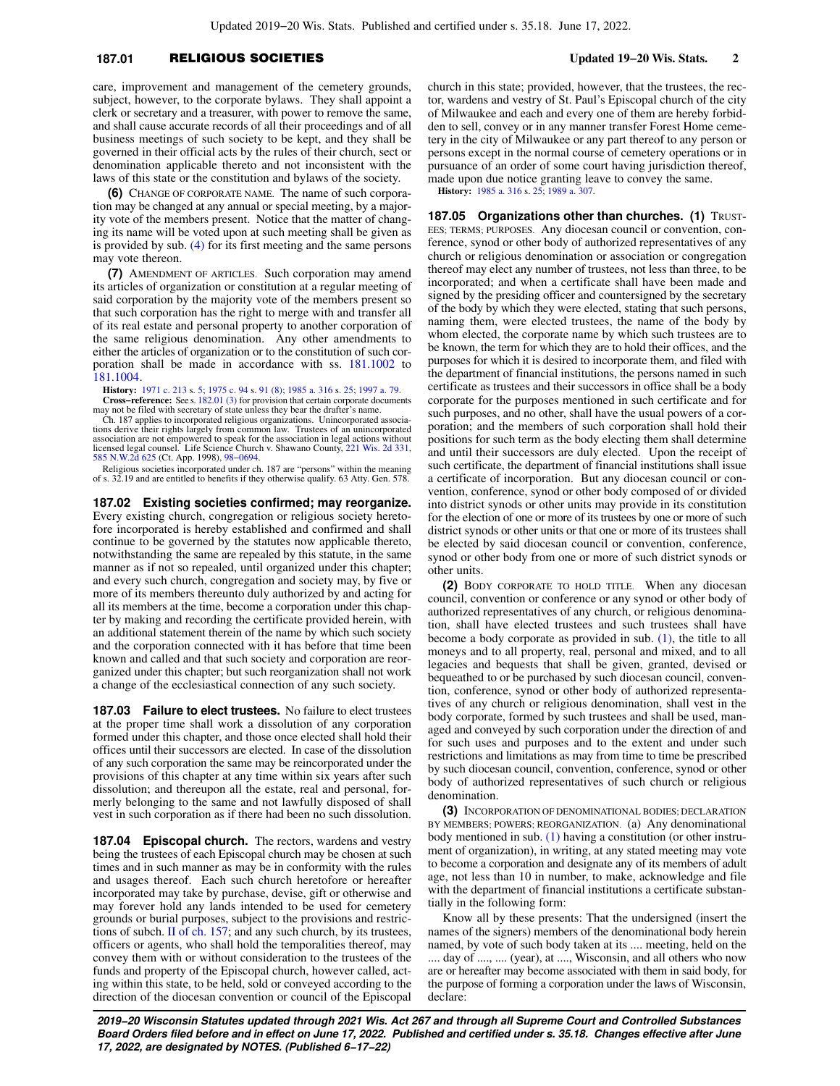### **187.01** RELIGIOUS SOCIETIES **Updated 19−20 Wis. Stats. 2**

care, improvement and management of the cemetery grounds, subject, however, to the corporate bylaws. They shall appoint a clerk or secretary and a treasurer, with power to remove the same, and shall cause accurate records of all their proceedings and of all business meetings of such society to be kept, and they shall be governed in their official acts by the rules of their church, sect or denomination applicable thereto and not inconsistent with the laws of this state or the constitution and bylaws of the society.

**(6)** CHANGE OF CORPORATE NAME. The name of such corporation may be changed at any annual or special meeting, by a majority vote of the members present. Notice that the matter of changing its name will be voted upon at such meeting shall be given as is provided by sub. [\(4\)](https://docs.legis.wisconsin.gov/document/statutes/187.01(4)) for its first meeting and the same persons may vote thereon.

**(7)** AMENDMENT OF ARTICLES. Such corporation may amend its articles of organization or constitution at a regular meeting of said corporation by the majority vote of the members present so that such corporation has the right to merge with and transfer all of its real estate and personal property to another corporation of the same religious denomination. Any other amendments to either the articles of organization or to the constitution of such corporation shall be made in accordance with ss. [181.1002](https://docs.legis.wisconsin.gov/document/statutes/181.1002) to [181.1004.](https://docs.legis.wisconsin.gov/document/statutes/181.1004)

**History:** [1971 c. 213](https://docs.legis.wisconsin.gov/document/acts/1971/213) s. [5;](https://docs.legis.wisconsin.gov/document/acts/1971/213,%20s.%205) [1975 c. 94](https://docs.legis.wisconsin.gov/document/acts/1975/94) s. [91 \(8\);](https://docs.legis.wisconsin.gov/document/acts/1975/94,%20s.%2091) [1985 a. 316](https://docs.legis.wisconsin.gov/document/acts/1985/316) s. [25;](https://docs.legis.wisconsin.gov/document/acts/1985/316,%20s.%2025) [1997 a. 79.](https://docs.legis.wisconsin.gov/document/acts/1997/79) **Cross−reference:** See s. [182.01 \(3\)](https://docs.legis.wisconsin.gov/document/statutes/182.01(3)) for provision that certain corporate documents

may not be filed with secretary of state unless they bear the drafter's name. Ch. 187 applies to incorporated religious organizations. Unincorporated associa-

tions derive their rights largely from common law. Trustees of an unincorporated association are not empowered to speak for the association in legal actions without licensed legal counsel. Life Science Church v. Shawano County, [221 Wis. 2d 331](https://docs.legis.wisconsin.gov/document/courts/221%20Wis.%202d%20331), [585 N.W.2d 625](https://docs.legis.wisconsin.gov/document/courts/585%20N.W.2d%20625) (Ct. App. 1998), [98−0694](https://docs.legis.wisconsin.gov/document/wicourtofappeals/98-0694).

Religious societies incorporated under ch. 187 are "persons" within the meaning of s. 32.19 and are entitled to benefits if they otherwise qualify. 63 Atty. Gen. 578.

**187.02 Existing societies confirmed; may reorganize.** Every existing church, congregation or religious society heretofore incorporated is hereby established and confirmed and shall continue to be governed by the statutes now applicable thereto, notwithstanding the same are repealed by this statute, in the same manner as if not so repealed, until organized under this chapter; and every such church, congregation and society may, by five or more of its members thereunto duly authorized by and acting for all its members at the time, become a corporation under this chapter by making and recording the certificate provided herein, with an additional statement therein of the name by which such society and the corporation connected with it has before that time been known and called and that such society and corporation are reorganized under this chapter; but such reorganization shall not work a change of the ecclesiastical connection of any such society.

**187.03 Failure to elect trustees.** No failure to elect trustees at the proper time shall work a dissolution of any corporation formed under this chapter, and those once elected shall hold their offices until their successors are elected. In case of the dissolution of any such corporation the same may be reincorporated under the provisions of this chapter at any time within six years after such dissolution; and thereupon all the estate, real and personal, formerly belonging to the same and not lawfully disposed of shall vest in such corporation as if there had been no such dissolution.

**187.04 Episcopal church.** The rectors, wardens and vestry being the trustees of each Episcopal church may be chosen at such times and in such manner as may be in conformity with the rules and usages thereof. Each such church heretofore or hereafter incorporated may take by purchase, devise, gift or otherwise and may forever hold any lands intended to be used for cemetery grounds or burial purposes, subject to the provisions and restrictions of subch. [II of ch. 157](https://docs.legis.wisconsin.gov/document/statutes/subch.%20II%20of%20ch.%20157); and any such church, by its trustees, officers or agents, who shall hold the temporalities thereof, may convey them with or without consideration to the trustees of the funds and property of the Episcopal church, however called, acting within this state, to be held, sold or conveyed according to the direction of the diocesan convention or council of the Episcopal church in this state; provided, however, that the trustees, the rector, wardens and vestry of St. Paul's Episcopal church of the city of Milwaukee and each and every one of them are hereby forbidden to sell, convey or in any manner transfer Forest Home cemetery in the city of Milwaukee or any part thereof to any person or persons except in the normal course of cemetery operations or in pursuance of an order of some court having jurisdiction thereof, made upon due notice granting leave to convey the same.

**History:** [1985 a. 316](https://docs.legis.wisconsin.gov/document/acts/1985/316) s. [25;](https://docs.legis.wisconsin.gov/document/acts/1985/316,%20s.%2025) [1989 a. 307](https://docs.legis.wisconsin.gov/document/acts/1989/307).

**187.05 Organizations other than churches. (1)** TRUST-EES; TERMS; PURPOSES. Any diocesan council or convention, conference, synod or other body of authorized representatives of any church or religious denomination or association or congregation thereof may elect any number of trustees, not less than three, to be incorporated; and when a certificate shall have been made and signed by the presiding officer and countersigned by the secretary of the body by which they were elected, stating that such persons, naming them, were elected trustees, the name of the body by whom elected, the corporate name by which such trustees are to be known, the term for which they are to hold their offices, and the purposes for which it is desired to incorporate them, and filed with the department of financial institutions, the persons named in such certificate as trustees and their successors in office shall be a body corporate for the purposes mentioned in such certificate and for such purposes, and no other, shall have the usual powers of a corporation; and the members of such corporation shall hold their positions for such term as the body electing them shall determine and until their successors are duly elected. Upon the receipt of such certificate, the department of financial institutions shall issue a certificate of incorporation. But any diocesan council or convention, conference, synod or other body composed of or divided into district synods or other units may provide in its constitution for the election of one or more of its trustees by one or more of such district synods or other units or that one or more of its trustees shall be elected by said diocesan council or convention, conference, synod or other body from one or more of such district synods or other units.

**(2)** BODY CORPORATE TO HOLD TITLE. When any diocesan council, convention or conference or any synod or other body of authorized representatives of any church, or religious denomination, shall have elected trustees and such trustees shall have become a body corporate as provided in sub. [\(1\)](https://docs.legis.wisconsin.gov/document/statutes/187.05(1)), the title to all moneys and to all property, real, personal and mixed, and to all legacies and bequests that shall be given, granted, devised or bequeathed to or be purchased by such diocesan council, convention, conference, synod or other body of authorized representatives of any church or religious denomination, shall vest in the body corporate, formed by such trustees and shall be used, managed and conveyed by such corporation under the direction of and for such uses and purposes and to the extent and under such restrictions and limitations as may from time to time be prescribed by such diocesan council, convention, conference, synod or other body of authorized representatives of such church or religious denomination.

**(3)** INCORPORATION OF DENOMINATIONAL BODIES; DECLARATION BY MEMBERS; POWERS; REORGANIZATION. (a) Any denominational body mentioned in sub. [\(1\)](https://docs.legis.wisconsin.gov/document/statutes/187.05(1)) having a constitution (or other instrument of organization), in writing, at any stated meeting may vote to become a corporation and designate any of its members of adult age, not less than 10 in number, to make, acknowledge and file with the department of financial institutions a certificate substantially in the following form:

Know all by these presents: That the undersigned (insert the names of the signers) members of the denominational body herein named, by vote of such body taken at its .... meeting, held on the .... day of ...., .... (year), at ...., Wisconsin, and all others who now are or hereafter may become associated with them in said body, for the purpose of forming a corporation under the laws of Wisconsin, declare: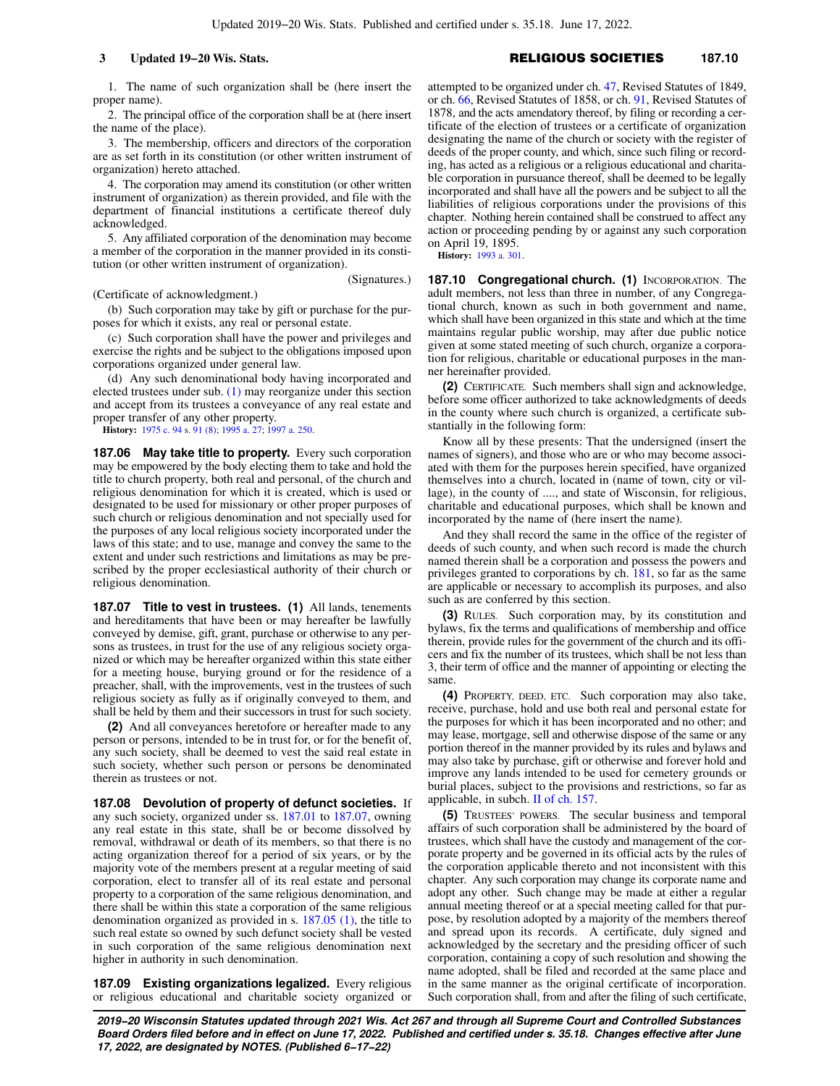1. The name of such organization shall be (here insert the proper name).

2. The principal office of the corporation shall be at (here insert the name of the place).

3. The membership, officers and directors of the corporation are as set forth in its constitution (or other written instrument of organization) hereto attached.

4. The corporation may amend its constitution (or other written instrument of organization) as therein provided, and file with the department of financial institutions a certificate thereof duly acknowledged.

5. Any affiliated corporation of the denomination may become a member of the corporation in the manner provided in its constitution (or other written instrument of organization).

(Signatures.)

(Certificate of acknowledgment.)

(b) Such corporation may take by gift or purchase for the purposes for which it exists, any real or personal estate.

(c) Such corporation shall have the power and privileges and exercise the rights and be subject to the obligations imposed upon corporations organized under general law.

(d) Any such denominational body having incorporated and elected trustees under sub. [\(1\)](https://docs.legis.wisconsin.gov/document/statutes/187.05(1)) may reorganize under this section and accept from its trustees a conveyance of any real estate and proper transfer of any other property.

**History:** [1975 c. 94](https://docs.legis.wisconsin.gov/document/acts/1975/94) s. [91 \(8\);](https://docs.legis.wisconsin.gov/document/acts/1975/94,%20s.%2091) [1995 a. 27;](https://docs.legis.wisconsin.gov/document/acts/1995/27) [1997 a. 250.](https://docs.legis.wisconsin.gov/document/acts/1997/250)

**187.06 May take title to property.** Every such corporation may be empowered by the body electing them to take and hold the title to church property, both real and personal, of the church and religious denomination for which it is created, which is used or designated to be used for missionary or other proper purposes of such church or religious denomination and not specially used for the purposes of any local religious society incorporated under the laws of this state; and to use, manage and convey the same to the extent and under such restrictions and limitations as may be prescribed by the proper ecclesiastical authority of their church or religious denomination.

**187.07 Title to vest in trustees. (1)** All lands, tenements and hereditaments that have been or may hereafter be lawfully conveyed by demise, gift, grant, purchase or otherwise to any persons as trustees, in trust for the use of any religious society organized or which may be hereafter organized within this state either for a meeting house, burying ground or for the residence of a preacher, shall, with the improvements, vest in the trustees of such religious society as fully as if originally conveyed to them, and shall be held by them and their successors in trust for such society.

**(2)** And all conveyances heretofore or hereafter made to any person or persons, intended to be in trust for, or for the benefit of, any such society, shall be deemed to vest the said real estate in such society, whether such person or persons be denominated therein as trustees or not.

**187.08 Devolution of property of defunct societies.** If any such society, organized under ss. [187.01](https://docs.legis.wisconsin.gov/document/statutes/187.01) to [187.07](https://docs.legis.wisconsin.gov/document/statutes/187.07), owning any real estate in this state, shall be or become dissolved by removal, withdrawal or death of its members, so that there is no acting organization thereof for a period of six years, or by the majority vote of the members present at a regular meeting of said corporation, elect to transfer all of its real estate and personal property to a corporation of the same religious denomination, and there shall be within this state a corporation of the same religious denomination organized as provided in s. [187.05 \(1\)](https://docs.legis.wisconsin.gov/document/statutes/187.05(1)), the title to such real estate so owned by such defunct society shall be vested in such corporation of the same religious denomination next higher in authority in such denomination.

**187.09 Existing organizations legalized.** Every religious or religious educational and charitable society organized or attempted to be organized under ch. [47,](https://docs.legis.wisconsin.gov/document/statutes/1849/ch.%2047) Revised Statutes of 1849, or ch. [66](https://docs.legis.wisconsin.gov/document/statutes/1858/ch.%2066), Revised Statutes of 1858, or ch. [91](https://docs.legis.wisconsin.gov/document/statutes/1878/ch.%2091), Revised Statutes of 1878, and the acts amendatory thereof, by filing or recording a certificate of the election of trustees or a certificate of organization designating the name of the church or society with the register of deeds of the proper county, and which, since such filing or recording, has acted as a religious or a religious educational and charitable corporation in pursuance thereof, shall be deemed to be legally incorporated and shall have all the powers and be subject to all the liabilities of religious corporations under the provisions of this chapter. Nothing herein contained shall be construed to affect any action or proceeding pending by or against any such corporation on April 19, 1895.

**History:** [1993 a. 301.](https://docs.legis.wisconsin.gov/document/acts/1993/301)

**187.10 Congregational church. (1) INCORPORATION. The** adult members, not less than three in number, of any Congregational church, known as such in both government and name, which shall have been organized in this state and which at the time maintains regular public worship, may after due public notice given at some stated meeting of such church, organize a corporation for religious, charitable or educational purposes in the manner hereinafter provided.

**(2)** CERTIFICATE. Such members shall sign and acknowledge, before some officer authorized to take acknowledgments of deeds in the county where such church is organized, a certificate substantially in the following form:

Know all by these presents: That the undersigned (insert the names of signers), and those who are or who may become associated with them for the purposes herein specified, have organized themselves into a church, located in (name of town, city or village), in the county of ...., and state of Wisconsin, for religious, charitable and educational purposes, which shall be known and incorporated by the name of (here insert the name).

And they shall record the same in the office of the register of deeds of such county, and when such record is made the church named therein shall be a corporation and possess the powers and privileges granted to corporations by ch. [181,](https://docs.legis.wisconsin.gov/document/statutes/ch.%20181) so far as the same are applicable or necessary to accomplish its purposes, and also such as are conferred by this section.

**(3)** RULES. Such corporation may, by its constitution and bylaws, fix the terms and qualifications of membership and office therein, provide rules for the government of the church and its officers and fix the number of its trustees, which shall be not less than 3, their term of office and the manner of appointing or electing the same.

**(4)** PROPERTY, DEED, ETC. Such corporation may also take, receive, purchase, hold and use both real and personal estate for the purposes for which it has been incorporated and no other; and may lease, mortgage, sell and otherwise dispose of the same or any portion thereof in the manner provided by its rules and bylaws and may also take by purchase, gift or otherwise and forever hold and improve any lands intended to be used for cemetery grounds or burial places, subject to the provisions and restrictions, so far as applicable, in subch. [II of ch. 157](https://docs.legis.wisconsin.gov/document/statutes/subch.%20II%20of%20ch.%20157).

**(5)** TRUSTEES' POWERS. The secular business and temporal affairs of such corporation shall be administered by the board of trustees, which shall have the custody and management of the corporate property and be governed in its official acts by the rules of the corporation applicable thereto and not inconsistent with this chapter. Any such corporation may change its corporate name and adopt any other. Such change may be made at either a regular annual meeting thereof or at a special meeting called for that purpose, by resolution adopted by a majority of the members thereof and spread upon its records. A certificate, duly signed and acknowledged by the secretary and the presiding officer of such corporation, containing a copy of such resolution and showing the name adopted, shall be filed and recorded at the same place and in the same manner as the original certificate of incorporation. Such corporation shall, from and after the filing of such certificate,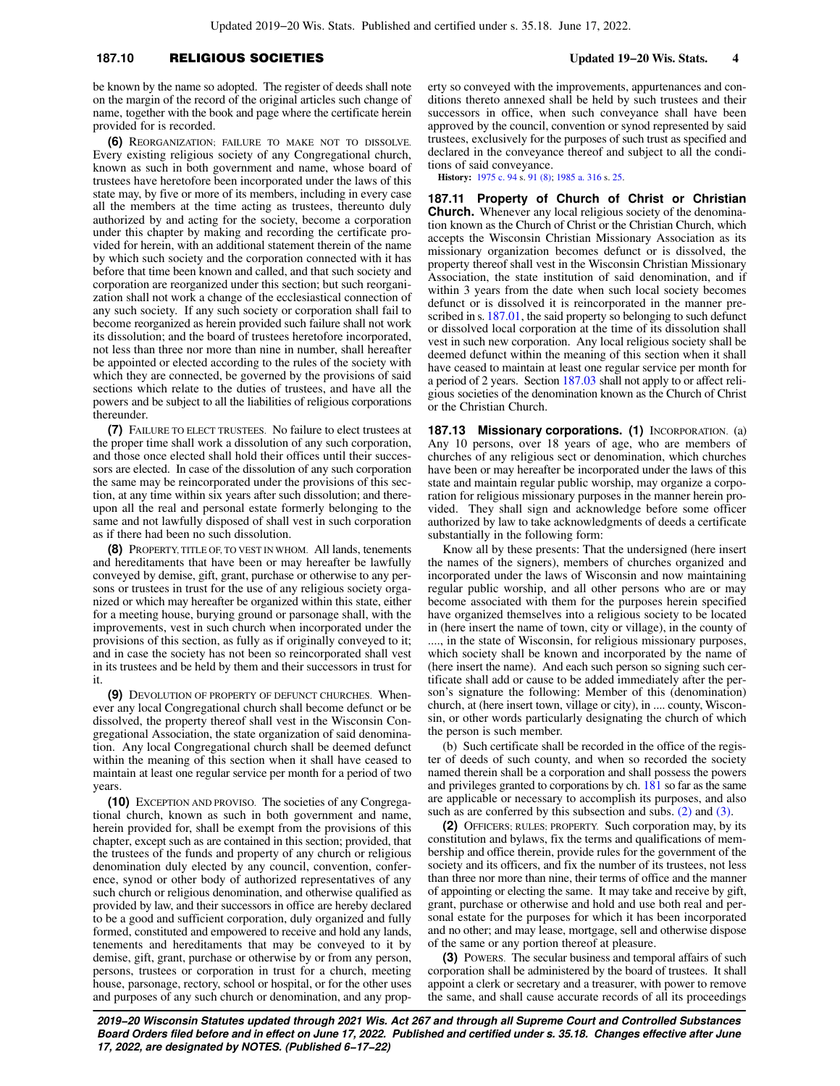### **187.10** RELIGIOUS SOCIETIES **Updated 19−20 Wis. Stats. 4**

be known by the name so adopted. The register of deeds shall note on the margin of the record of the original articles such change of name, together with the book and page where the certificate herein provided for is recorded.

**(6)** REORGANIZATION; FAILURE TO MAKE NOT TO DISSOLVE. Every existing religious society of any Congregational church, known as such in both government and name, whose board of trustees have heretofore been incorporated under the laws of this state may, by five or more of its members, including in every case all the members at the time acting as trustees, thereunto duly authorized by and acting for the society, become a corporation under this chapter by making and recording the certificate provided for herein, with an additional statement therein of the name by which such society and the corporation connected with it has before that time been known and called, and that such society and corporation are reorganized under this section; but such reorganization shall not work a change of the ecclesiastical connection of any such society. If any such society or corporation shall fail to become reorganized as herein provided such failure shall not work its dissolution; and the board of trustees heretofore incorporated, not less than three nor more than nine in number, shall hereafter be appointed or elected according to the rules of the society with which they are connected, be governed by the provisions of said sections which relate to the duties of trustees, and have all the powers and be subject to all the liabilities of religious corporations thereunder.

**(7)** FAILURE TO ELECT TRUSTEES. No failure to elect trustees at the proper time shall work a dissolution of any such corporation, and those once elected shall hold their offices until their successors are elected. In case of the dissolution of any such corporation the same may be reincorporated under the provisions of this section, at any time within six years after such dissolution; and thereupon all the real and personal estate formerly belonging to the same and not lawfully disposed of shall vest in such corporation as if there had been no such dissolution.

**(8)** PROPERTY, TITLE OF, TO VEST IN WHOM. All lands, tenements and hereditaments that have been or may hereafter be lawfully conveyed by demise, gift, grant, purchase or otherwise to any persons or trustees in trust for the use of any religious society organized or which may hereafter be organized within this state, either for a meeting house, burying ground or parsonage shall, with the improvements, vest in such church when incorporated under the provisions of this section, as fully as if originally conveyed to it; and in case the society has not been so reincorporated shall vest in its trustees and be held by them and their successors in trust for it.

**(9)** DEVOLUTION OF PROPERTY OF DEFUNCT CHURCHES. Whenever any local Congregational church shall become defunct or be dissolved, the property thereof shall vest in the Wisconsin Congregational Association, the state organization of said denomination. Any local Congregational church shall be deemed defunct within the meaning of this section when it shall have ceased to maintain at least one regular service per month for a period of two years.

**(10)** EXCEPTION AND PROVISO. The societies of any Congregational church, known as such in both government and name, herein provided for, shall be exempt from the provisions of this chapter, except such as are contained in this section; provided, that the trustees of the funds and property of any church or religious denomination duly elected by any council, convention, conference, synod or other body of authorized representatives of any such church or religious denomination, and otherwise qualified as provided by law, and their successors in office are hereby declared to be a good and sufficient corporation, duly organized and fully formed, constituted and empowered to receive and hold any lands, tenements and hereditaments that may be conveyed to it by demise, gift, grant, purchase or otherwise by or from any person, persons, trustees or corporation in trust for a church, meeting house, parsonage, rectory, school or hospital, or for the other uses and purposes of any such church or denomination, and any property so conveyed with the improvements, appurtenances and conditions thereto annexed shall be held by such trustees and their successors in office, when such conveyance shall have been approved by the council, convention or synod represented by said trustees, exclusively for the purposes of such trust as specified and declared in the conveyance thereof and subject to all the conditions of said conveyance.

**History:** [1975 c. 94](https://docs.legis.wisconsin.gov/document/acts/1975/94) s. [91 \(8\)](https://docs.legis.wisconsin.gov/document/acts/1975/94,%20s.%2091); [1985 a. 316](https://docs.legis.wisconsin.gov/document/acts/1985/316) s. [25.](https://docs.legis.wisconsin.gov/document/acts/1985/316,%20s.%2025)

**187.11 Property of Church of Christ or Christian Church.** Whenever any local religious society of the denomination known as the Church of Christ or the Christian Church, which accepts the Wisconsin Christian Missionary Association as its missionary organization becomes defunct or is dissolved, the property thereof shall vest in the Wisconsin Christian Missionary Association, the state institution of said denomination, and if within 3 years from the date when such local society becomes defunct or is dissolved it is reincorporated in the manner pre-scribed in s. [187.01,](https://docs.legis.wisconsin.gov/document/statutes/187.01) the said property so belonging to such defunct or dissolved local corporation at the time of its dissolution shall vest in such new corporation. Any local religious society shall be deemed defunct within the meaning of this section when it shall have ceased to maintain at least one regular service per month for a period of 2 years. Section [187.03](https://docs.legis.wisconsin.gov/document/statutes/187.03) shall not apply to or affect religious societies of the denomination known as the Church of Christ or the Christian Church.

**187.13 Missionary corporations. (1) INCORPORATION. (a)** Any 10 persons, over 18 years of age, who are members of churches of any religious sect or denomination, which churches have been or may hereafter be incorporated under the laws of this state and maintain regular public worship, may organize a corporation for religious missionary purposes in the manner herein provided. They shall sign and acknowledge before some officer authorized by law to take acknowledgments of deeds a certificate substantially in the following form:

Know all by these presents: That the undersigned (here insert the names of the signers), members of churches organized and incorporated under the laws of Wisconsin and now maintaining regular public worship, and all other persons who are or may become associated with them for the purposes herein specified have organized themselves into a religious society to be located in (here insert the name of town, city or village), in the county of ...., in the state of Wisconsin, for religious missionary purposes, which society shall be known and incorporated by the name of (here insert the name). And each such person so signing such certificate shall add or cause to be added immediately after the person's signature the following: Member of this (denomination) church, at (here insert town, village or city), in .... county, Wisconsin, or other words particularly designating the church of which the person is such member.

(b) Such certificate shall be recorded in the office of the register of deeds of such county, and when so recorded the society named therein shall be a corporation and shall possess the powers and privileges granted to corporations by ch. [181](https://docs.legis.wisconsin.gov/document/statutes/ch.%20181) so far as the same are applicable or necessary to accomplish its purposes, and also such as are conferred by this subsection and subs. [\(2\)](https://docs.legis.wisconsin.gov/document/statutes/187.13(2)) and [\(3\).](https://docs.legis.wisconsin.gov/document/statutes/187.13(3))

**(2)** OFFICERS; RULES; PROPERTY. Such corporation may, by its constitution and bylaws, fix the terms and qualifications of membership and office therein, provide rules for the government of the society and its officers, and fix the number of its trustees, not less than three nor more than nine, their terms of office and the manner of appointing or electing the same. It may take and receive by gift, grant, purchase or otherwise and hold and use both real and personal estate for the purposes for which it has been incorporated and no other; and may lease, mortgage, sell and otherwise dispose of the same or any portion thereof at pleasure.

**(3)** POWERS. The secular business and temporal affairs of such corporation shall be administered by the board of trustees. It shall appoint a clerk or secretary and a treasurer, with power to remove the same, and shall cause accurate records of all its proceedings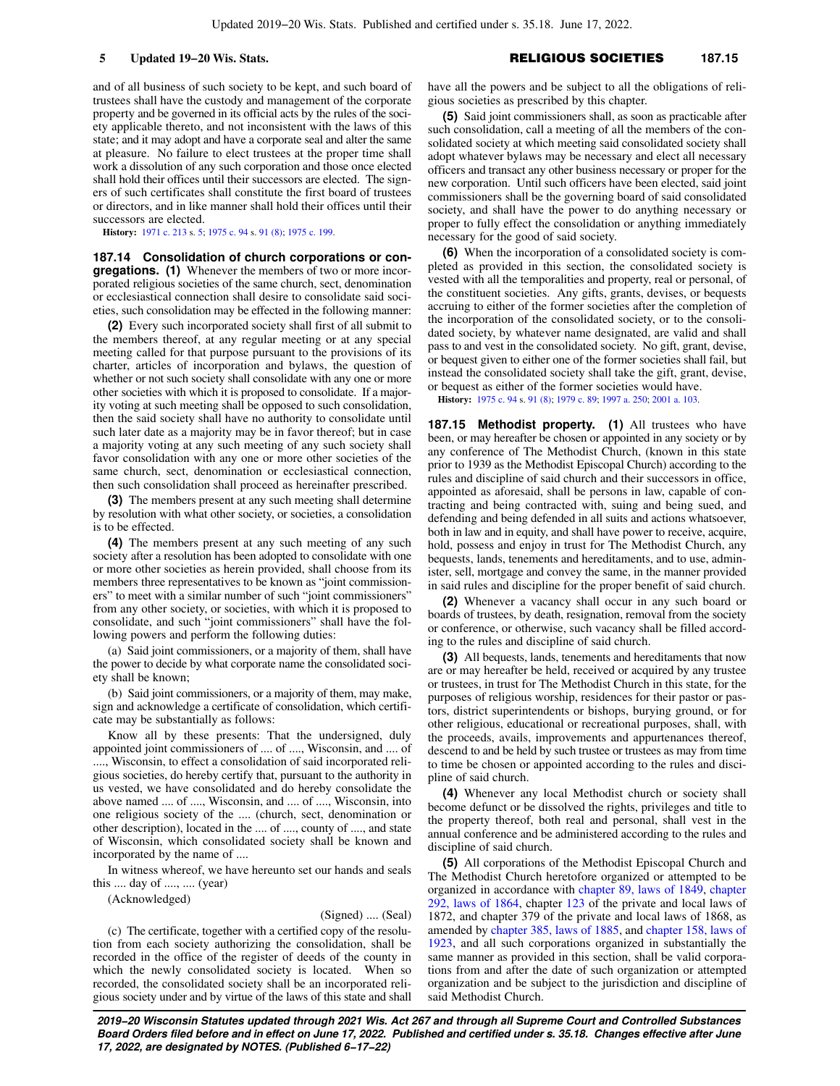and of all business of such society to be kept, and such board of trustees shall have the custody and management of the corporate property and be governed in its official acts by the rules of the society applicable thereto, and not inconsistent with the laws of this state; and it may adopt and have a corporate seal and alter the same at pleasure. No failure to elect trustees at the proper time shall work a dissolution of any such corporation and those once elected shall hold their offices until their successors are elected. The signers of such certificates shall constitute the first board of trustees or directors, and in like manner shall hold their offices until their successors are elected.

**History:** [1971 c. 213](https://docs.legis.wisconsin.gov/document/acts/1971/213) s. [5;](https://docs.legis.wisconsin.gov/document/acts/1971/213,%20s.%205) [1975 c. 94](https://docs.legis.wisconsin.gov/document/acts/1975/94) s. [91 \(8\);](https://docs.legis.wisconsin.gov/document/acts/1975/94,%20s.%2091) [1975 c. 199.](https://docs.legis.wisconsin.gov/document/acts/1975/199)

**187.14 Consolidation of church corporations or congregations. (1)** Whenever the members of two or more incorporated religious societies of the same church, sect, denomination or ecclesiastical connection shall desire to consolidate said societies, such consolidation may be effected in the following manner:

**(2)** Every such incorporated society shall first of all submit to the members thereof, at any regular meeting or at any special meeting called for that purpose pursuant to the provisions of its charter, articles of incorporation and bylaws, the question of whether or not such society shall consolidate with any one or more other societies with which it is proposed to consolidate. If a majority voting at such meeting shall be opposed to such consolidation, then the said society shall have no authority to consolidate until such later date as a majority may be in favor thereof; but in case a majority voting at any such meeting of any such society shall favor consolidation with any one or more other societies of the same church, sect, denomination or ecclesiastical connection, then such consolidation shall proceed as hereinafter prescribed.

**(3)** The members present at any such meeting shall determine by resolution with what other society, or societies, a consolidation is to be effected.

**(4)** The members present at any such meeting of any such society after a resolution has been adopted to consolidate with one or more other societies as herein provided, shall choose from its members three representatives to be known as "joint commissioners" to meet with a similar number of such "joint commissioners" from any other society, or societies, with which it is proposed to consolidate, and such "joint commissioners" shall have the following powers and perform the following duties:

(a) Said joint commissioners, or a majority of them, shall have the power to decide by what corporate name the consolidated society shall be known;

(b) Said joint commissioners, or a majority of them, may make, sign and acknowledge a certificate of consolidation, which certificate may be substantially as follows:

Know all by these presents: That the undersigned, duly appointed joint commissioners of .... of ...., Wisconsin, and .... of ...., Wisconsin, to effect a consolidation of said incorporated religious societies, do hereby certify that, pursuant to the authority in us vested, we have consolidated and do hereby consolidate the above named .... of ...., Wisconsin, and .... of ...., Wisconsin, into one religious society of the .... (church, sect, denomination or other description), located in the .... of ...., county of ...., and state of Wisconsin, which consolidated society shall be known and incorporated by the name of ....

In witness whereof, we have hereunto set our hands and seals this .... day of ...., .... (year)

(Acknowledged)

#### (Signed) .... (Seal)

(c) The certificate, together with a certified copy of the resolution from each society authorizing the consolidation, shall be recorded in the office of the register of deeds of the county in which the newly consolidated society is located. When so recorded, the consolidated society shall be an incorporated religious society under and by virtue of the laws of this state and shall have all the powers and be subject to all the obligations of religious societies as prescribed by this chapter.

**(5)** Said joint commissioners shall, as soon as practicable after such consolidation, call a meeting of all the members of the consolidated society at which meeting said consolidated society shall adopt whatever bylaws may be necessary and elect all necessary officers and transact any other business necessary or proper for the new corporation. Until such officers have been elected, said joint commissioners shall be the governing board of said consolidated society, and shall have the power to do anything necessary or proper to fully effect the consolidation or anything immediately necessary for the good of said society.

**(6)** When the incorporation of a consolidated society is completed as provided in this section, the consolidated society is vested with all the temporalities and property, real or personal, of the constituent societies. Any gifts, grants, devises, or bequests accruing to either of the former societies after the completion of the incorporation of the consolidated society, or to the consolidated society, by whatever name designated, are valid and shall pass to and vest in the consolidated society. No gift, grant, devise, or bequest given to either one of the former societies shall fail, but instead the consolidated society shall take the gift, grant, devise, or bequest as either of the former societies would have.

**History:** [1975 c. 94](https://docs.legis.wisconsin.gov/document/acts/1975/94) s. [91 \(8\)](https://docs.legis.wisconsin.gov/document/acts/1975/94,%20s.%2091); [1979 c. 89](https://docs.legis.wisconsin.gov/document/acts/1979/89); [1997 a. 250;](https://docs.legis.wisconsin.gov/document/acts/1997/250) [2001 a. 103.](https://docs.legis.wisconsin.gov/document/acts/2001/103)

**187.15 Methodist property. (1)** All trustees who have been, or may hereafter be chosen or appointed in any society or by any conference of The Methodist Church, (known in this state prior to 1939 as the Methodist Episcopal Church) according to the rules and discipline of said church and their successors in office, appointed as aforesaid, shall be persons in law, capable of contracting and being contracted with, suing and being sued, and defending and being defended in all suits and actions whatsoever, both in law and in equity, and shall have power to receive, acquire, hold, possess and enjoy in trust for The Methodist Church, any bequests, lands, tenements and hereditaments, and to use, administer, sell, mortgage and convey the same, in the manner provided in said rules and discipline for the proper benefit of said church.

**(2)** Whenever a vacancy shall occur in any such board or boards of trustees, by death, resignation, removal from the society or conference, or otherwise, such vacancy shall be filled according to the rules and discipline of said church.

**(3)** All bequests, lands, tenements and hereditaments that now are or may hereafter be held, received or acquired by any trustee or trustees, in trust for The Methodist Church in this state, for the purposes of religious worship, residences for their pastor or pastors, district superintendents or bishops, burying ground, or for other religious, educational or recreational purposes, shall, with the proceeds, avails, improvements and appurtenances thereof, descend to and be held by such trustee or trustees as may from time to time be chosen or appointed according to the rules and discipline of said church.

**(4)** Whenever any local Methodist church or society shall become defunct or be dissolved the rights, privileges and title to the property thereof, both real and personal, shall vest in the annual conference and be administered according to the rules and discipline of said church.

**(5)** All corporations of the Methodist Episcopal Church and The Methodist Church heretofore organized or attempted to be organized in accordance with [chapter 89, laws of 1849,](https://docs.legis.wisconsin.gov/document/acts/1849/89) [chapter](https://docs.legis.wisconsin.gov/document/acts/1864/292) [292, laws of 1864](https://docs.legis.wisconsin.gov/document/acts/1864/292), chapter [123](https://docs.legis.wisconsin.gov/document/acts/1864/123) of the private and local laws of 1872, and chapter 379 of the private and local laws of 1868, as amended by [chapter 385, laws of 1885](https://docs.legis.wisconsin.gov/document/acts/1885/385), and [chapter 158, laws of](https://docs.legis.wisconsin.gov/document/acts/1923/158) [1923](https://docs.legis.wisconsin.gov/document/acts/1923/158), and all such corporations organized in substantially the same manner as provided in this section, shall be valid corporations from and after the date of such organization or attempted organization and be subject to the jurisdiction and discipline of said Methodist Church.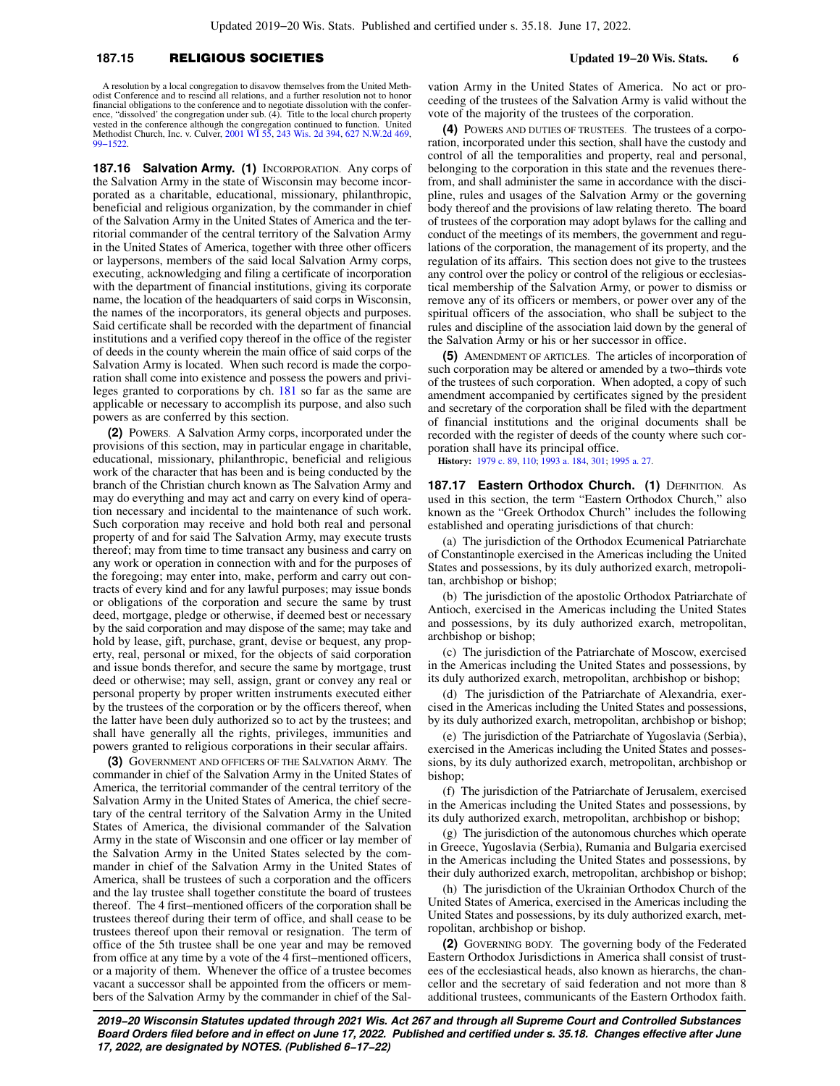### **187.15** RELIGIOUS SOCIETIES **Updated 19−20 Wis. Stats. 6**

A resolution by a local congregation to disavow themselves from the United Methodist Conference and to rescind all relations, and a further resolution not to honor financial obligations to the conference and to negotiate dissolution with the conference, "dissolved' the congregation under sub. (4). Title to the local church property vested in the conference although the congregation continued to function. United vested in the conference although the congregation continued to function. United Methodist Church, Inc. v. Culver, [2001 WI 55](https://docs.legis.wisconsin.gov/document/courts/2001%20WI%2055), [243 Wis. 2d 394](https://docs.legis.wisconsin.gov/document/courts/243%20Wis.%202d%20394), [627 N.W.2d 469](https://docs.legis.wisconsin.gov/document/courts/627%20N.W.2d%20469), [99−1522](https://docs.legis.wisconsin.gov/document/wisupremecourt/99-1522).

**187.16 Salvation Army. (1)** INCORPORATION. Any corps of the Salvation Army in the state of Wisconsin may become incorporated as a charitable, educational, missionary, philanthropic, beneficial and religious organization, by the commander in chief of the Salvation Army in the United States of America and the territorial commander of the central territory of the Salvation Army in the United States of America, together with three other officers or laypersons, members of the said local Salvation Army corps, executing, acknowledging and filing a certificate of incorporation with the department of financial institutions, giving its corporate name, the location of the headquarters of said corps in Wisconsin, the names of the incorporators, its general objects and purposes. Said certificate shall be recorded with the department of financial institutions and a verified copy thereof in the office of the register of deeds in the county wherein the main office of said corps of the Salvation Army is located. When such record is made the corporation shall come into existence and possess the powers and privileges granted to corporations by ch. [181](https://docs.legis.wisconsin.gov/document/statutes/ch.%20181) so far as the same are applicable or necessary to accomplish its purpose, and also such powers as are conferred by this section.

**(2)** POWERS. A Salvation Army corps, incorporated under the provisions of this section, may in particular engage in charitable, educational, missionary, philanthropic, beneficial and religious work of the character that has been and is being conducted by the branch of the Christian church known as The Salvation Army and may do everything and may act and carry on every kind of operation necessary and incidental to the maintenance of such work. Such corporation may receive and hold both real and personal property of and for said The Salvation Army, may execute trusts thereof; may from time to time transact any business and carry on any work or operation in connection with and for the purposes of the foregoing; may enter into, make, perform and carry out contracts of every kind and for any lawful purposes; may issue bonds or obligations of the corporation and secure the same by trust deed, mortgage, pledge or otherwise, if deemed best or necessary by the said corporation and may dispose of the same; may take and hold by lease, gift, purchase, grant, devise or bequest, any property, real, personal or mixed, for the objects of said corporation and issue bonds therefor, and secure the same by mortgage, trust deed or otherwise; may sell, assign, grant or convey any real or personal property by proper written instruments executed either by the trustees of the corporation or by the officers thereof, when the latter have been duly authorized so to act by the trustees; and shall have generally all the rights, privileges, immunities and powers granted to religious corporations in their secular affairs.

**(3)** GOVERNMENT AND OFFICERS OF THE SALVATION ARMY. The commander in chief of the Salvation Army in the United States of America, the territorial commander of the central territory of the Salvation Army in the United States of America, the chief secretary of the central territory of the Salvation Army in the United States of America, the divisional commander of the Salvation Army in the state of Wisconsin and one officer or lay member of the Salvation Army in the United States selected by the commander in chief of the Salvation Army in the United States of America, shall be trustees of such a corporation and the officers and the lay trustee shall together constitute the board of trustees thereof. The 4 first−mentioned officers of the corporation shall be trustees thereof during their term of office, and shall cease to be trustees thereof upon their removal or resignation. The term of office of the 5th trustee shall be one year and may be removed from office at any time by a vote of the 4 first−mentioned officers, or a majority of them. Whenever the office of a trustee becomes vacant a successor shall be appointed from the officers or members of the Salvation Army by the commander in chief of the Sal-

vation Army in the United States of America. No act or proceeding of the trustees of the Salvation Army is valid without the vote of the majority of the trustees of the corporation.

**(4)** POWERS AND DUTIES OF TRUSTEES. The trustees of a corporation, incorporated under this section, shall have the custody and control of all the temporalities and property, real and personal, belonging to the corporation in this state and the revenues therefrom, and shall administer the same in accordance with the discipline, rules and usages of the Salvation Army or the governing body thereof and the provisions of law relating thereto. The board of trustees of the corporation may adopt bylaws for the calling and conduct of the meetings of its members, the government and regulations of the corporation, the management of its property, and the regulation of its affairs. This section does not give to the trustees any control over the policy or control of the religious or ecclesiastical membership of the Salvation Army, or power to dismiss or remove any of its officers or members, or power over any of the spiritual officers of the association, who shall be subject to the rules and discipline of the association laid down by the general of the Salvation Army or his or her successor in office.

**(5)** AMENDMENT OF ARTICLES. The articles of incorporation of such corporation may be altered or amended by a two−thirds vote of the trustees of such corporation. When adopted, a copy of such amendment accompanied by certificates signed by the president and secretary of the corporation shall be filed with the department of financial institutions and the original documents shall be recorded with the register of deeds of the county where such corporation shall have its principal office.

**History:** [1979 c. 89](https://docs.legis.wisconsin.gov/document/acts/1979/89), [110;](https://docs.legis.wisconsin.gov/document/acts/1979/110) [1993 a. 184,](https://docs.legis.wisconsin.gov/document/acts/1993/184) [301;](https://docs.legis.wisconsin.gov/document/acts/1993/301) [1995 a. 27.](https://docs.legis.wisconsin.gov/document/acts/1995/27)

**187.17 Eastern Orthodox Church. (1) DEFINITION. As** used in this section, the term "Eastern Orthodox Church," also known as the "Greek Orthodox Church" includes the following established and operating jurisdictions of that church:

(a) The jurisdiction of the Orthodox Ecumenical Patriarchate of Constantinople exercised in the Americas including the United States and possessions, by its duly authorized exarch, metropolitan, archbishop or bishop;

(b) The jurisdiction of the apostolic Orthodox Patriarchate of Antioch, exercised in the Americas including the United States and possessions, by its duly authorized exarch, metropolitan, archbishop or bishop;

(c) The jurisdiction of the Patriarchate of Moscow, exercised in the Americas including the United States and possessions, by its duly authorized exarch, metropolitan, archbishop or bishop;

(d) The jurisdiction of the Patriarchate of Alexandria, exercised in the Americas including the United States and possessions, by its duly authorized exarch, metropolitan, archbishop or bishop;

(e) The jurisdiction of the Patriarchate of Yugoslavia (Serbia), exercised in the Americas including the United States and possessions, by its duly authorized exarch, metropolitan, archbishop or bishop;

(f) The jurisdiction of the Patriarchate of Jerusalem, exercised in the Americas including the United States and possessions, by its duly authorized exarch, metropolitan, archbishop or bishop;

(g) The jurisdiction of the autonomous churches which operate in Greece, Yugoslavia (Serbia), Rumania and Bulgaria exercised in the Americas including the United States and possessions, by their duly authorized exarch, metropolitan, archbishop or bishop;

(h) The jurisdiction of the Ukrainian Orthodox Church of the United States of America, exercised in the Americas including the United States and possessions, by its duly authorized exarch, metropolitan, archbishop or bishop.

**(2)** GOVERNING BODY. The governing body of the Federated Eastern Orthodox Jurisdictions in America shall consist of trustees of the ecclesiastical heads, also known as hierarchs, the chancellor and the secretary of said federation and not more than 8 additional trustees, communicants of the Eastern Orthodox faith.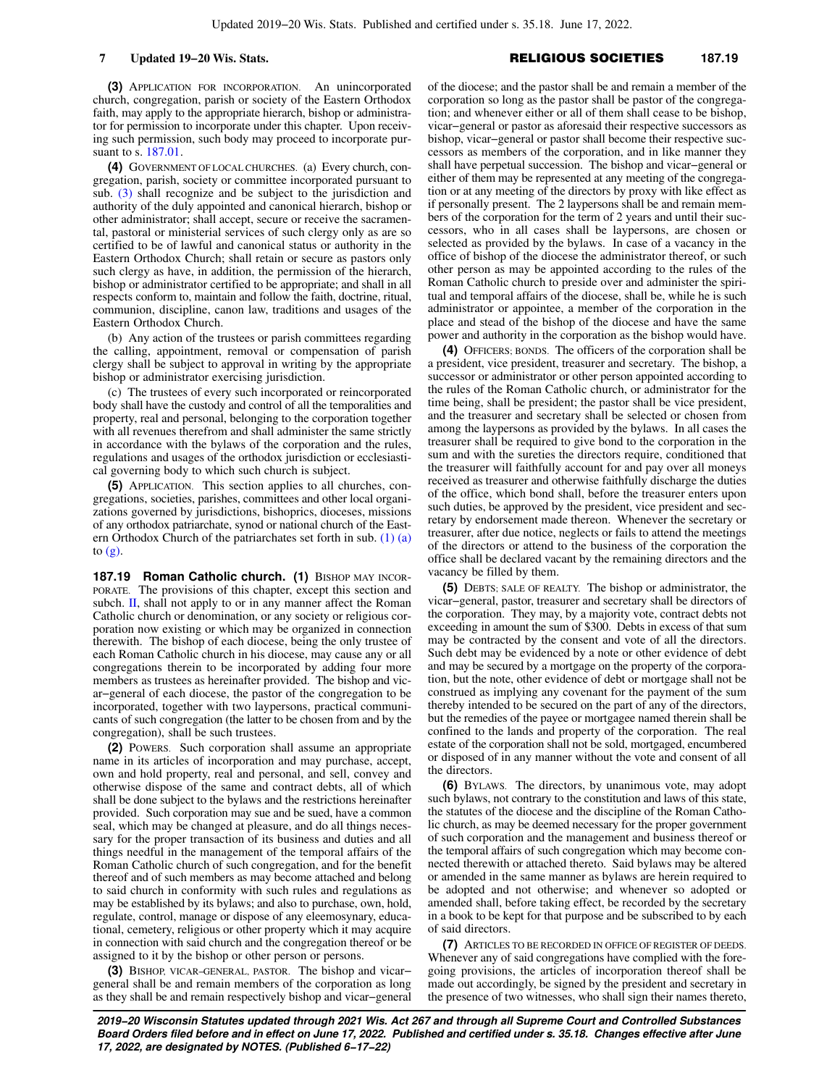**(3)** APPLICATION FOR INCORPORATION. An unincorporated church, congregation, parish or society of the Eastern Orthodox faith, may apply to the appropriate hierarch, bishop or administrator for permission to incorporate under this chapter. Upon receiving such permission, such body may proceed to incorporate pursuant to s. [187.01](https://docs.legis.wisconsin.gov/document/statutes/187.01).

**(4)** GOVERNMENT OF LOCAL CHURCHES. (a) Every church, congregation, parish, society or committee incorporated pursuant to sub. [\(3\)](https://docs.legis.wisconsin.gov/document/statutes/187.17(3)) shall recognize and be subject to the jurisdiction and authority of the duly appointed and canonical hierarch, bishop or other administrator; shall accept, secure or receive the sacramental, pastoral or ministerial services of such clergy only as are so certified to be of lawful and canonical status or authority in the Eastern Orthodox Church; shall retain or secure as pastors only such clergy as have, in addition, the permission of the hierarch, bishop or administrator certified to be appropriate; and shall in all respects conform to, maintain and follow the faith, doctrine, ritual, communion, discipline, canon law, traditions and usages of the Eastern Orthodox Church.

(b) Any action of the trustees or parish committees regarding the calling, appointment, removal or compensation of parish clergy shall be subject to approval in writing by the appropriate bishop or administrator exercising jurisdiction.

(c) The trustees of every such incorporated or reincorporated body shall have the custody and control of all the temporalities and property, real and personal, belonging to the corporation together with all revenues therefrom and shall administer the same strictly in accordance with the bylaws of the corporation and the rules, regulations and usages of the orthodox jurisdiction or ecclesiastical governing body to which such church is subject.

**(5)** APPLICATION. This section applies to all churches, congregations, societies, parishes, committees and other local organizations governed by jurisdictions, bishoprics, dioceses, missions of any orthodox patriarchate, synod or national church of the Eastern Orthodox Church of the patriarchates set forth in sub. [\(1\) \(a\)](https://docs.legis.wisconsin.gov/document/statutes/187.17(1)(a)) to  $(g)$ .

**187.19 Roman Catholic church. (1)** BISHOP MAY INCOR-PORATE. The provisions of this chapter, except this section and subch. [II,](https://docs.legis.wisconsin.gov/document/statutes/subch.%20II%20of%20ch.%20187) shall not apply to or in any manner affect the Roman Catholic church or denomination, or any society or religious corporation now existing or which may be organized in connection therewith. The bishop of each diocese, being the only trustee of each Roman Catholic church in his diocese, may cause any or all congregations therein to be incorporated by adding four more members as trustees as hereinafter provided. The bishop and vicar−general of each diocese, the pastor of the congregation to be incorporated, together with two laypersons, practical communicants of such congregation (the latter to be chosen from and by the congregation), shall be such trustees.

**(2)** POWERS. Such corporation shall assume an appropriate name in its articles of incorporation and may purchase, accept, own and hold property, real and personal, and sell, convey and otherwise dispose of the same and contract debts, all of which shall be done subject to the bylaws and the restrictions hereinafter provided. Such corporation may sue and be sued, have a common seal, which may be changed at pleasure, and do all things necessary for the proper transaction of its business and duties and all things needful in the management of the temporal affairs of the Roman Catholic church of such congregation, and for the benefit thereof and of such members as may become attached and belong to said church in conformity with such rules and regulations as may be established by its bylaws; and also to purchase, own, hold, regulate, control, manage or dispose of any eleemosynary, educational, cemetery, religious or other property which it may acquire in connection with said church and the congregation thereof or be assigned to it by the bishop or other person or persons.

**(3)** BISHOP, VICAR−GENERAL, PASTOR. The bishop and vicar− general shall be and remain members of the corporation as long as they shall be and remain respectively bishop and vicar−general of the diocese; and the pastor shall be and remain a member of the corporation so long as the pastor shall be pastor of the congregation; and whenever either or all of them shall cease to be bishop, vicar−general or pastor as aforesaid their respective successors as bishop, vicar−general or pastor shall become their respective successors as members of the corporation, and in like manner they shall have perpetual succession. The bishop and vicar−general or either of them may be represented at any meeting of the congregation or at any meeting of the directors by proxy with like effect as if personally present. The 2 laypersons shall be and remain members of the corporation for the term of 2 years and until their successors, who in all cases shall be laypersons, are chosen or selected as provided by the bylaws. In case of a vacancy in the office of bishop of the diocese the administrator thereof, or such other person as may be appointed according to the rules of the Roman Catholic church to preside over and administer the spiritual and temporal affairs of the diocese, shall be, while he is such administrator or appointee, a member of the corporation in the place and stead of the bishop of the diocese and have the same power and authority in the corporation as the bishop would have.

**(4)** OFFICERS; BONDS. The officers of the corporation shall be a president, vice president, treasurer and secretary. The bishop, a successor or administrator or other person appointed according to the rules of the Roman Catholic church, or administrator for the time being, shall be president; the pastor shall be vice president, and the treasurer and secretary shall be selected or chosen from among the laypersons as provided by the bylaws. In all cases the treasurer shall be required to give bond to the corporation in the sum and with the sureties the directors require, conditioned that the treasurer will faithfully account for and pay over all moneys received as treasurer and otherwise faithfully discharge the duties of the office, which bond shall, before the treasurer enters upon such duties, be approved by the president, vice president and secretary by endorsement made thereon. Whenever the secretary or treasurer, after due notice, neglects or fails to attend the meetings of the directors or attend to the business of the corporation the office shall be declared vacant by the remaining directors and the vacancy be filled by them.

**(5)** DEBTS; SALE OF REALTY. The bishop or administrator, the vicar−general, pastor, treasurer and secretary shall be directors of the corporation. They may, by a majority vote, contract debts not exceeding in amount the sum of \$300. Debts in excess of that sum may be contracted by the consent and vote of all the directors. Such debt may be evidenced by a note or other evidence of debt and may be secured by a mortgage on the property of the corporation, but the note, other evidence of debt or mortgage shall not be construed as implying any covenant for the payment of the sum thereby intended to be secured on the part of any of the directors, but the remedies of the payee or mortgagee named therein shall be confined to the lands and property of the corporation. The real estate of the corporation shall not be sold, mortgaged, encumbered or disposed of in any manner without the vote and consent of all the directors.

**(6)** BYLAWS. The directors, by unanimous vote, may adopt such bylaws, not contrary to the constitution and laws of this state, the statutes of the diocese and the discipline of the Roman Catholic church, as may be deemed necessary for the proper government of such corporation and the management and business thereof or the temporal affairs of such congregation which may become connected therewith or attached thereto. Said bylaws may be altered or amended in the same manner as bylaws are herein required to be adopted and not otherwise; and whenever so adopted or amended shall, before taking effect, be recorded by the secretary in a book to be kept for that purpose and be subscribed to by each of said directors.

**(7)** ARTICLES TO BE RECORDED IN OFFICE OF REGISTER OF DEEDS. Whenever any of said congregations have complied with the foregoing provisions, the articles of incorporation thereof shall be made out accordingly, be signed by the president and secretary in the presence of two witnesses, who shall sign their names thereto,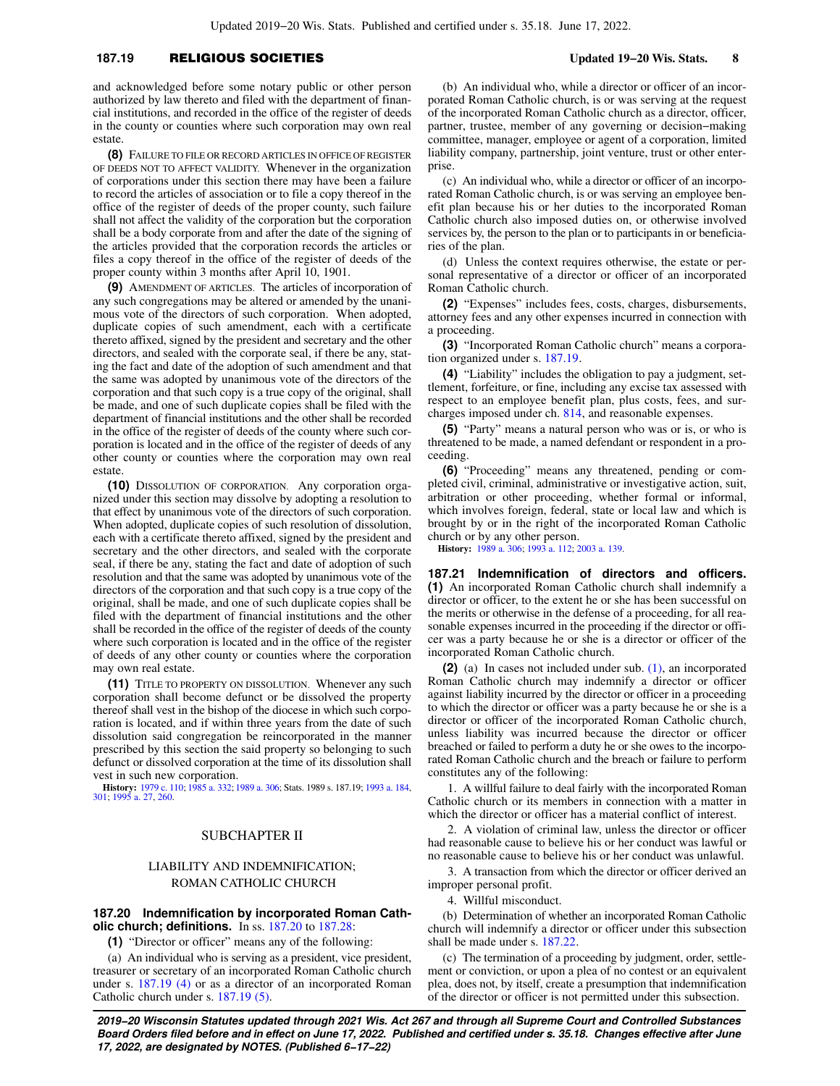### **187.19** RELIGIOUS SOCIETIES **Updated 19−20 Wis. Stats. 8**

and acknowledged before some notary public or other person authorized by law thereto and filed with the department of financial institutions, and recorded in the office of the register of deeds in the county or counties where such corporation may own real estate.

**(8)** FAILURE TO FILE OR RECORD ARTICLES IN OFFICE OF REGISTER OF DEEDS NOT TO AFFECT VALIDITY. Whenever in the organization of corporations under this section there may have been a failure to record the articles of association or to file a copy thereof in the office of the register of deeds of the proper county, such failure shall not affect the validity of the corporation but the corporation shall be a body corporate from and after the date of the signing of the articles provided that the corporation records the articles or files a copy thereof in the office of the register of deeds of the proper county within 3 months after April 10, 1901.

**(9)** AMENDMENT OF ARTICLES. The articles of incorporation of any such congregations may be altered or amended by the unanimous vote of the directors of such corporation. When adopted, duplicate copies of such amendment, each with a certificate thereto affixed, signed by the president and secretary and the other directors, and sealed with the corporate seal, if there be any, stating the fact and date of the adoption of such amendment and that the same was adopted by unanimous vote of the directors of the corporation and that such copy is a true copy of the original, shall be made, and one of such duplicate copies shall be filed with the department of financial institutions and the other shall be recorded in the office of the register of deeds of the county where such corporation is located and in the office of the register of deeds of any other county or counties where the corporation may own real estate

**(10)** DISSOLUTION OF CORPORATION. Any corporation organized under this section may dissolve by adopting a resolution to that effect by unanimous vote of the directors of such corporation. When adopted, duplicate copies of such resolution of dissolution, each with a certificate thereto affixed, signed by the president and secretary and the other directors, and sealed with the corporate seal, if there be any, stating the fact and date of adoption of such resolution and that the same was adopted by unanimous vote of the directors of the corporation and that such copy is a true copy of the original, shall be made, and one of such duplicate copies shall be filed with the department of financial institutions and the other shall be recorded in the office of the register of deeds of the county where such corporation is located and in the office of the register of deeds of any other county or counties where the corporation may own real estate.

**(11)** TITLE TO PROPERTY ON DISSOLUTION. Whenever any such corporation shall become defunct or be dissolved the property thereof shall vest in the bishop of the diocese in which such corporation is located, and if within three years from the date of such dissolution said congregation be reincorporated in the manner prescribed by this section the said property so belonging to such defunct or dissolved corporation at the time of its dissolution shall vest in such new corporation.

**History:** [1979 c. 110;](https://docs.legis.wisconsin.gov/document/acts/1979/110) [1985 a. 332;](https://docs.legis.wisconsin.gov/document/acts/1985/332) [1989 a. 306;](https://docs.legis.wisconsin.gov/document/acts/1989/306) Stats. 1989 s. 187.19; [1993 a. 184](https://docs.legis.wisconsin.gov/document/acts/1993/184), [301](https://docs.legis.wisconsin.gov/document/acts/1993/301); [1995 a. 27](https://docs.legis.wisconsin.gov/document/acts/1995/27), [260.](https://docs.legis.wisconsin.gov/document/acts/1995/260)

### SUBCHAPTER II

## LIABILITY AND INDEMNIFICATION; ROMAN CATHOLIC CHURCH

### **187.20 Indemnification by incorporated Roman Catholic church; definitions.** In ss. [187.20](https://docs.legis.wisconsin.gov/document/statutes/187.20) to [187.28:](https://docs.legis.wisconsin.gov/document/statutes/187.28)

**(1)** "Director or officer" means any of the following:

(a) An individual who is serving as a president, vice president, treasurer or secretary of an incorporated Roman Catholic church under s. [187.19 \(4\)](https://docs.legis.wisconsin.gov/document/statutes/187.19(4)) or as a director of an incorporated Roman Catholic church under s. [187.19 \(5\)](https://docs.legis.wisconsin.gov/document/statutes/187.19(5)).

(b) An individual who, while a director or officer of an incorporated Roman Catholic church, is or was serving at the request of the incorporated Roman Catholic church as a director, officer, partner, trustee, member of any governing or decision−making committee, manager, employee or agent of a corporation, limited liability company, partnership, joint venture, trust or other enterprise.

(c) An individual who, while a director or officer of an incorporated Roman Catholic church, is or was serving an employee benefit plan because his or her duties to the incorporated Roman Catholic church also imposed duties on, or otherwise involved services by, the person to the plan or to participants in or beneficiaries of the plan.

(d) Unless the context requires otherwise, the estate or personal representative of a director or officer of an incorporated Roman Catholic church.

**(2)** "Expenses" includes fees, costs, charges, disbursements, attorney fees and any other expenses incurred in connection with a proceeding.

**(3)** "Incorporated Roman Catholic church" means a corporation organized under s. [187.19](https://docs.legis.wisconsin.gov/document/statutes/187.19).

**(4)** "Liability" includes the obligation to pay a judgment, settlement, forfeiture, or fine, including any excise tax assessed with respect to an employee benefit plan, plus costs, fees, and surcharges imposed under ch. [814](https://docs.legis.wisconsin.gov/document/statutes/ch.%20814), and reasonable expenses.

**(5)** "Party" means a natural person who was or is, or who is threatened to be made, a named defendant or respondent in a proceeding.

**(6)** "Proceeding" means any threatened, pending or completed civil, criminal, administrative or investigative action, suit, arbitration or other proceeding, whether formal or informal, which involves foreign, federal, state or local law and which is brought by or in the right of the incorporated Roman Catholic church or by any other person.

**History:** [1989 a. 306;](https://docs.legis.wisconsin.gov/document/acts/1989/306) [1993 a. 112;](https://docs.legis.wisconsin.gov/document/acts/1993/112) [2003 a. 139.](https://docs.legis.wisconsin.gov/document/acts/2003/139)

**187.21 Indemnification of directors and officers. (1)** An incorporated Roman Catholic church shall indemnify a director or officer, to the extent he or she has been successful on the merits or otherwise in the defense of a proceeding, for all reasonable expenses incurred in the proceeding if the director or officer was a party because he or she is a director or officer of the incorporated Roman Catholic church.

**(2)** (a) In cases not included under sub. [\(1\),](https://docs.legis.wisconsin.gov/document/statutes/187.21(1)) an incorporated Roman Catholic church may indemnify a director or officer against liability incurred by the director or officer in a proceeding to which the director or officer was a party because he or she is a director or officer of the incorporated Roman Catholic church, unless liability was incurred because the director or officer breached or failed to perform a duty he or she owes to the incorporated Roman Catholic church and the breach or failure to perform constitutes any of the following:

1. A willful failure to deal fairly with the incorporated Roman Catholic church or its members in connection with a matter in which the director or officer has a material conflict of interest.

2. A violation of criminal law, unless the director or officer had reasonable cause to believe his or her conduct was lawful or no reasonable cause to believe his or her conduct was unlawful.

3. A transaction from which the director or officer derived an improper personal profit.

4. Willful misconduct.

(b) Determination of whether an incorporated Roman Catholic church will indemnify a director or officer under this subsection shall be made under s. [187.22.](https://docs.legis.wisconsin.gov/document/statutes/187.22)

(c) The termination of a proceeding by judgment, order, settlement or conviction, or upon a plea of no contest or an equivalent plea, does not, by itself, create a presumption that indemnification of the director or officer is not permitted under this subsection.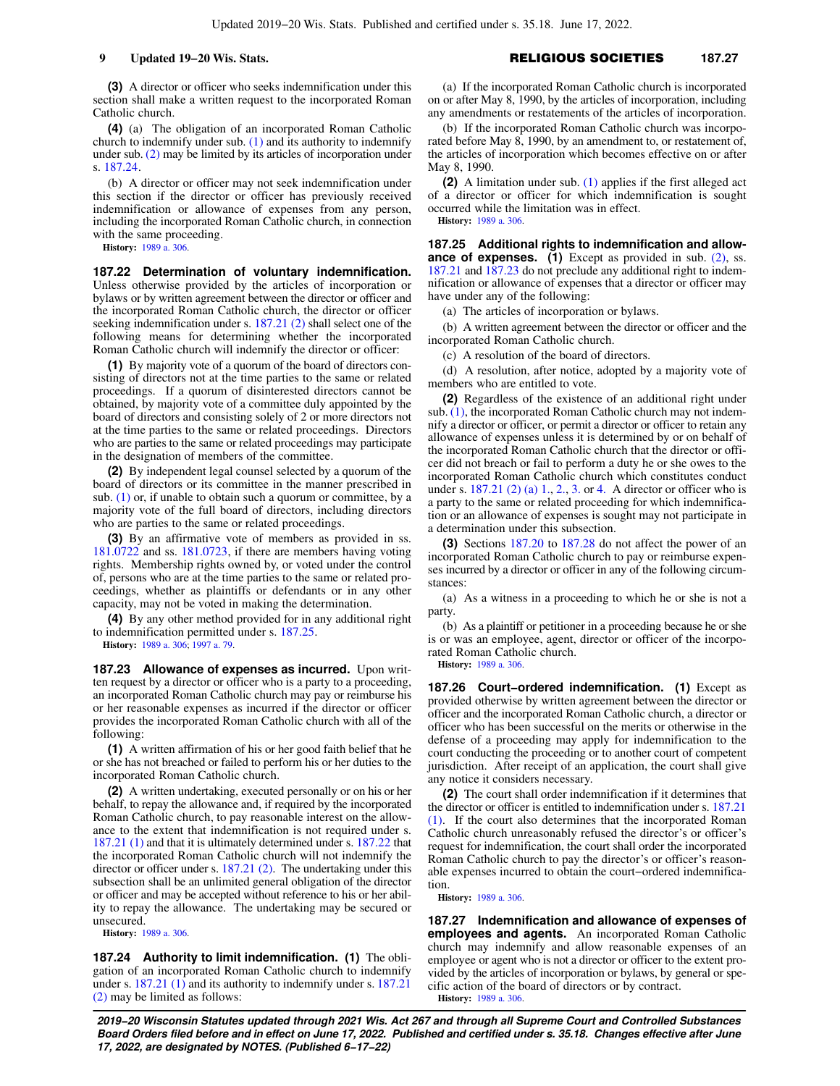**(3)** A director or officer who seeks indemnification under this section shall make a written request to the incorporated Roman Catholic church.

**(4)** (a) The obligation of an incorporated Roman Catholic church to indemnify under sub.  $(1)$  and its authority to indemnify under sub. [\(2\)](https://docs.legis.wisconsin.gov/document/statutes/187.21(2)) may be limited by its articles of incorporation under s. [187.24.](https://docs.legis.wisconsin.gov/document/statutes/187.24)

(b) A director or officer may not seek indemnification under this section if the director or officer has previously received indemnification or allowance of expenses from any person, including the incorporated Roman Catholic church, in connection with the same proceeding.

**History:** [1989 a. 306](https://docs.legis.wisconsin.gov/document/acts/1989/306).

**187.22 Determination of voluntary indemnification.** Unless otherwise provided by the articles of incorporation or bylaws or by written agreement between the director or officer and the incorporated Roman Catholic church, the director or officer seeking indemnification under s. [187.21 \(2\)](https://docs.legis.wisconsin.gov/document/statutes/187.21(2)) shall select one of the following means for determining whether the incorporated Roman Catholic church will indemnify the director or officer:

**(1)** By majority vote of a quorum of the board of directors consisting of directors not at the time parties to the same or related proceedings. If a quorum of disinterested directors cannot be obtained, by majority vote of a committee duly appointed by the board of directors and consisting solely of 2 or more directors not at the time parties to the same or related proceedings. Directors who are parties to the same or related proceedings may participate in the designation of members of the committee.

**(2)** By independent legal counsel selected by a quorum of the board of directors or its committee in the manner prescribed in sub. [\(1\)](https://docs.legis.wisconsin.gov/document/statutes/187.22(1)) or, if unable to obtain such a quorum or committee, by a majority vote of the full board of directors, including directors who are parties to the same or related proceedings.

**(3)** By an affirmative vote of members as provided in ss. [181.0722](https://docs.legis.wisconsin.gov/document/statutes/181.0722) and ss. [181.0723](https://docs.legis.wisconsin.gov/document/statutes/181.0723), if there are members having voting rights. Membership rights owned by, or voted under the control of, persons who are at the time parties to the same or related proceedings, whether as plaintiffs or defendants or in any other capacity, may not be voted in making the determination.

**(4)** By any other method provided for in any additional right to indemnification permitted under s. [187.25](https://docs.legis.wisconsin.gov/document/statutes/187.25).

**History:** [1989 a. 306](https://docs.legis.wisconsin.gov/document/acts/1989/306); [1997 a. 79.](https://docs.legis.wisconsin.gov/document/acts/1997/79)

**187.23 Allowance of expenses as incurred.** Upon written request by a director or officer who is a party to a proceeding, an incorporated Roman Catholic church may pay or reimburse his or her reasonable expenses as incurred if the director or officer provides the incorporated Roman Catholic church with all of the following:

**(1)** A written affirmation of his or her good faith belief that he or she has not breached or failed to perform his or her duties to the incorporated Roman Catholic church.

**(2)** A written undertaking, executed personally or on his or her behalf, to repay the allowance and, if required by the incorporated Roman Catholic church, to pay reasonable interest on the allowance to the extent that indemnification is not required under s. [187.21 \(1\)](https://docs.legis.wisconsin.gov/document/statutes/187.21(1)) and that it is ultimately determined under s. [187.22](https://docs.legis.wisconsin.gov/document/statutes/187.22) that the incorporated Roman Catholic church will not indemnify the director or officer under s. [187.21 \(2\).](https://docs.legis.wisconsin.gov/document/statutes/187.21(2)) The undertaking under this subsection shall be an unlimited general obligation of the director or officer and may be accepted without reference to his or her ability to repay the allowance. The undertaking may be secured or unsecured.

**History:** [1989 a. 306](https://docs.legis.wisconsin.gov/document/acts/1989/306).

**187.24 Authority to limit indemnification. (1)** The obligation of an incorporated Roman Catholic church to indemnify under s. [187.21 \(1\)](https://docs.legis.wisconsin.gov/document/statutes/187.21(1)) and its authority to indemnify under s. [187.21](https://docs.legis.wisconsin.gov/document/statutes/187.21(2)) [\(2\)](https://docs.legis.wisconsin.gov/document/statutes/187.21(2)) may be limited as follows:

(a) If the incorporated Roman Catholic church is incorporated on or after May 8, 1990, by the articles of incorporation, including any amendments or restatements of the articles of incorporation.

(b) If the incorporated Roman Catholic church was incorporated before May 8, 1990, by an amendment to, or restatement of, the articles of incorporation which becomes effective on or after May 8, 1990.

**(2)** A limitation under sub. [\(1\)](https://docs.legis.wisconsin.gov/document/statutes/187.24(1)) applies if the first alleged act of a director or officer for which indemnification is sought occurred while the limitation was in effect. **History:** [1989 a. 306.](https://docs.legis.wisconsin.gov/document/acts/1989/306)

**187.25 Additional rights to indemnification and allowance of expenses.** (1) Except as provided in sub. [\(2\)](https://docs.legis.wisconsin.gov/document/statutes/187.25(2)), ss. [187.21](https://docs.legis.wisconsin.gov/document/statutes/187.21) and [187.23](https://docs.legis.wisconsin.gov/document/statutes/187.23) do not preclude any additional right to indemnification or allowance of expenses that a director or officer may have under any of the following:

(a) The articles of incorporation or bylaws.

(b) A written agreement between the director or officer and the incorporated Roman Catholic church.

(c) A resolution of the board of directors.

(d) A resolution, after notice, adopted by a majority vote of members who are entitled to vote.

**(2)** Regardless of the existence of an additional right under sub. [\(1\),](https://docs.legis.wisconsin.gov/document/statutes/187.25(1)) the incorporated Roman Catholic church may not indemnify a director or officer, or permit a director or officer to retain any allowance of expenses unless it is determined by or on behalf of the incorporated Roman Catholic church that the director or officer did not breach or fail to perform a duty he or she owes to the incorporated Roman Catholic church which constitutes conduct under s. [187.21 \(2\) \(a\) 1.](https://docs.legis.wisconsin.gov/document/statutes/187.21(2)(a)1.), [2.](https://docs.legis.wisconsin.gov/document/statutes/187.21(2)(a)2.), [3.](https://docs.legis.wisconsin.gov/document/statutes/187.21(2)(a)3.) or [4.](https://docs.legis.wisconsin.gov/document/statutes/187.21(2)(a)4.) A director or officer who is a party to the same or related proceeding for which indemnification or an allowance of expenses is sought may not participate in a determination under this subsection.

**(3)** Sections [187.20](https://docs.legis.wisconsin.gov/document/statutes/187.20) to [187.28](https://docs.legis.wisconsin.gov/document/statutes/187.28) do not affect the power of an incorporated Roman Catholic church to pay or reimburse expenses incurred by a director or officer in any of the following circumstances:

(a) As a witness in a proceeding to which he or she is not a party.

(b) As a plaintiff or petitioner in a proceeding because he or she is or was an employee, agent, director or officer of the incorporated Roman Catholic church.

**History:** [1989 a. 306.](https://docs.legis.wisconsin.gov/document/acts/1989/306)

**187.26 Court−ordered indemnification. (1)** Except as provided otherwise by written agreement between the director or officer and the incorporated Roman Catholic church, a director or officer who has been successful on the merits or otherwise in the defense of a proceeding may apply for indemnification to the court conducting the proceeding or to another court of competent jurisdiction. After receipt of an application, the court shall give any notice it considers necessary.

**(2)** The court shall order indemnification if it determines that the director or officer is entitled to indemnification under s. [187.21](https://docs.legis.wisconsin.gov/document/statutes/187.21(1)) [\(1\).](https://docs.legis.wisconsin.gov/document/statutes/187.21(1)) If the court also determines that the incorporated Roman Catholic church unreasonably refused the director's or officer's request for indemnification, the court shall order the incorporated Roman Catholic church to pay the director's or officer's reasonable expenses incurred to obtain the court−ordered indemnification.

**History:** [1989 a. 306.](https://docs.legis.wisconsin.gov/document/acts/1989/306)

**187.27 Indemnification and allowance of expenses of employees and agents.** An incorporated Roman Catholic church may indemnify and allow reasonable expenses of an employee or agent who is not a director or officer to the extent provided by the articles of incorporation or bylaws, by general or specific action of the board of directors or by contract. **History:** [1989 a. 306.](https://docs.legis.wisconsin.gov/document/acts/1989/306)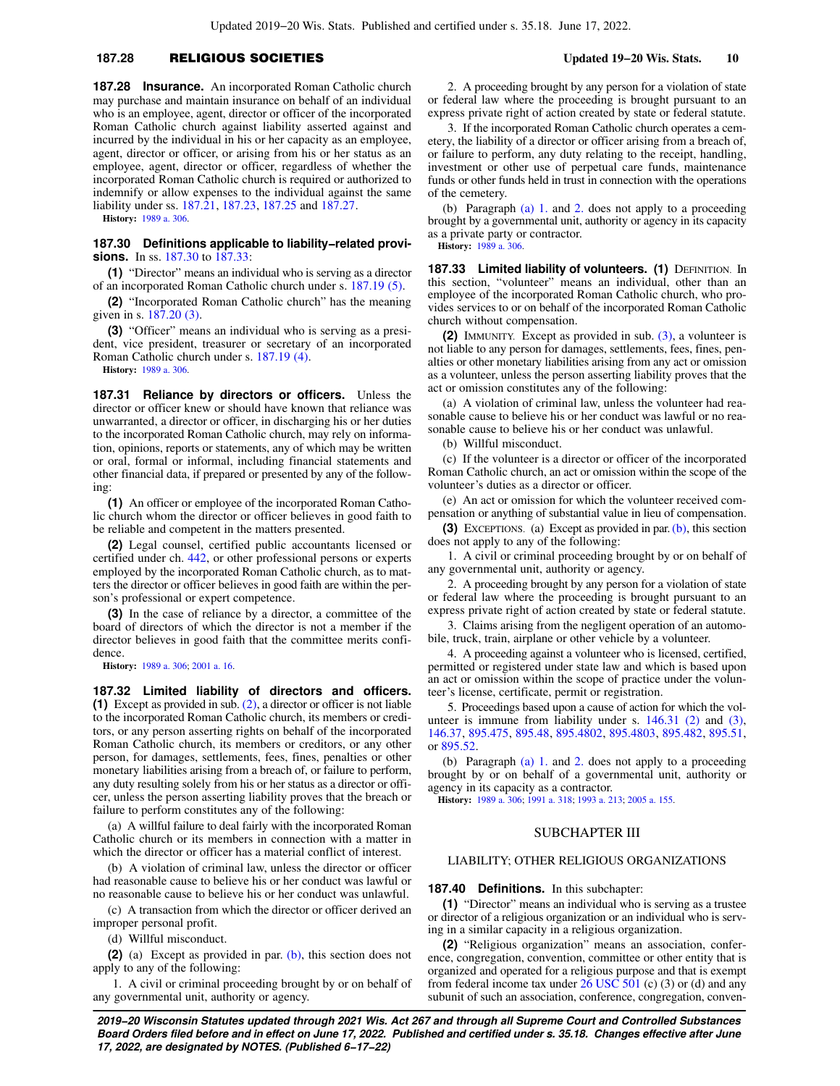### **187.28** RELIGIOUS SOCIETIES **Updated 19−20 Wis. Stats. 10**

**187.28 Insurance.** An incorporated Roman Catholic church may purchase and maintain insurance on behalf of an individual who is an employee, agent, director or officer of the incorporated Roman Catholic church against liability asserted against and incurred by the individual in his or her capacity as an employee, agent, director or officer, or arising from his or her status as an employee, agent, director or officer, regardless of whether the incorporated Roman Catholic church is required or authorized to indemnify or allow expenses to the individual against the same liability under ss. [187.21](https://docs.legis.wisconsin.gov/document/statutes/187.21), [187.23,](https://docs.legis.wisconsin.gov/document/statutes/187.23) [187.25](https://docs.legis.wisconsin.gov/document/statutes/187.25) and [187.27](https://docs.legis.wisconsin.gov/document/statutes/187.27).

**History:** [1989 a. 306](https://docs.legis.wisconsin.gov/document/acts/1989/306).

**187.30 Definitions applicable to liability−related provisions.** In ss. [187.30](https://docs.legis.wisconsin.gov/document/statutes/187.30) to [187.33:](https://docs.legis.wisconsin.gov/document/statutes/187.33)

**(1)** "Director" means an individual who is serving as a director of an incorporated Roman Catholic church under s. [187.19 \(5\)](https://docs.legis.wisconsin.gov/document/statutes/187.19(5)).

**(2)** "Incorporated Roman Catholic church" has the meaning given in s. [187.20 \(3\)](https://docs.legis.wisconsin.gov/document/statutes/187.20(3)).

**(3)** "Officer" means an individual who is serving as a president, vice president, treasurer or secretary of an incorporated Roman Catholic church under s. [187.19 \(4\).](https://docs.legis.wisconsin.gov/document/statutes/187.19(4))

**History:** [1989 a. 306](https://docs.legis.wisconsin.gov/document/acts/1989/306).

**187.31 Reliance by directors or officers.** Unless the director or officer knew or should have known that reliance was unwarranted, a director or officer, in discharging his or her duties to the incorporated Roman Catholic church, may rely on information, opinions, reports or statements, any of which may be written or oral, formal or informal, including financial statements and other financial data, if prepared or presented by any of the following:

**(1)** An officer or employee of the incorporated Roman Catholic church whom the director or officer believes in good faith to be reliable and competent in the matters presented.

**(2)** Legal counsel, certified public accountants licensed or certified under ch. [442,](https://docs.legis.wisconsin.gov/document/statutes/ch.%20442) or other professional persons or experts employed by the incorporated Roman Catholic church, as to matters the director or officer believes in good faith are within the person's professional or expert competence.

**(3)** In the case of reliance by a director, a committee of the board of directors of which the director is not a member if the director believes in good faith that the committee merits confidence.

**History:** [1989 a. 306](https://docs.legis.wisconsin.gov/document/acts/1989/306); [2001 a. 16.](https://docs.legis.wisconsin.gov/document/acts/2001/16)

**187.32 Limited liability of directors and officers. (1)** Except as provided in sub. [\(2\)](https://docs.legis.wisconsin.gov/document/statutes/187.32(2)), a director or officer is not liable to the incorporated Roman Catholic church, its members or creditors, or any person asserting rights on behalf of the incorporated Roman Catholic church, its members or creditors, or any other person, for damages, settlements, fees, fines, penalties or other monetary liabilities arising from a breach of, or failure to perform, any duty resulting solely from his or her status as a director or officer, unless the person asserting liability proves that the breach or failure to perform constitutes any of the following:

(a) A willful failure to deal fairly with the incorporated Roman Catholic church or its members in connection with a matter in which the director or officer has a material conflict of interest.

(b) A violation of criminal law, unless the director or officer had reasonable cause to believe his or her conduct was lawful or no reasonable cause to believe his or her conduct was unlawful.

(c) A transaction from which the director or officer derived an improper personal profit.

(d) Willful misconduct.

**(2)** (a) Except as provided in par. [\(b\),](https://docs.legis.wisconsin.gov/document/statutes/187.32(2)(b)) this section does not apply to any of the following:

1. A civil or criminal proceeding brought by or on behalf of any governmental unit, authority or agency.

2. A proceeding brought by any person for a violation of state or federal law where the proceeding is brought pursuant to an express private right of action created by state or federal statute.

3. If the incorporated Roman Catholic church operates a cemetery, the liability of a director or officer arising from a breach of, or failure to perform, any duty relating to the receipt, handling, investment or other use of perpetual care funds, maintenance funds or other funds held in trust in connection with the operations of the cemetery.

(b) Paragraph [\(a\) 1.](https://docs.legis.wisconsin.gov/document/statutes/187.32(2)(a)1.) and [2.](https://docs.legis.wisconsin.gov/document/statutes/187.32(2)(a)2.) does not apply to a proceeding brought by a governmental unit, authority or agency in its capacity as a private party or contractor.

**History:** [1989 a. 306.](https://docs.legis.wisconsin.gov/document/acts/1989/306)

**187.33 Limited liability of volunteers. (1) DEFINITION. In** this section, "volunteer" means an individual, other than an employee of the incorporated Roman Catholic church, who provides services to or on behalf of the incorporated Roman Catholic church without compensation.

**(2)** IMMUNITY. Except as provided in sub. [\(3\)](https://docs.legis.wisconsin.gov/document/statutes/187.33(3)), a volunteer is not liable to any person for damages, settlements, fees, fines, penalties or other monetary liabilities arising from any act or omission as a volunteer, unless the person asserting liability proves that the act or omission constitutes any of the following:

(a) A violation of criminal law, unless the volunteer had reasonable cause to believe his or her conduct was lawful or no reasonable cause to believe his or her conduct was unlawful.

(b) Willful misconduct.

(c) If the volunteer is a director or officer of the incorporated Roman Catholic church, an act or omission within the scope of the volunteer's duties as a director or officer.

(e) An act or omission for which the volunteer received compensation or anything of substantial value in lieu of compensation.

**(3)** EXCEPTIONS. (a) Except as provided in par. [\(b\),](https://docs.legis.wisconsin.gov/document/statutes/187.33(3)(b)) this section does not apply to any of the following:

1. A civil or criminal proceeding brought by or on behalf of any governmental unit, authority or agency.

2. A proceeding brought by any person for a violation of state or federal law where the proceeding is brought pursuant to an express private right of action created by state or federal statute.

3. Claims arising from the negligent operation of an automobile, truck, train, airplane or other vehicle by a volunteer.

4. A proceeding against a volunteer who is licensed, certified, permitted or registered under state law and which is based upon an act or omission within the scope of practice under the volunteer's license, certificate, permit or registration.

5. Proceedings based upon a cause of action for which the volunteer is immune from liability under s. [146.31 \(2\)](https://docs.legis.wisconsin.gov/document/statutes/146.31(2)) and [\(3\),](https://docs.legis.wisconsin.gov/document/statutes/146.31(3)) [146.37,](https://docs.legis.wisconsin.gov/document/statutes/146.37) [895.475](https://docs.legis.wisconsin.gov/document/statutes/895.475), [895.48,](https://docs.legis.wisconsin.gov/document/statutes/895.48) [895.4802](https://docs.legis.wisconsin.gov/document/statutes/895.4802), [895.4803](https://docs.legis.wisconsin.gov/document/statutes/895.4803), [895.482](https://docs.legis.wisconsin.gov/document/statutes/895.482), [895.51,](https://docs.legis.wisconsin.gov/document/statutes/895.51) or [895.52.](https://docs.legis.wisconsin.gov/document/statutes/895.52)

(b) Paragraph [\(a\) 1.](https://docs.legis.wisconsin.gov/document/statutes/187.33(3)(a)1.) and [2.](https://docs.legis.wisconsin.gov/document/statutes/187.33(3)(a)2.) does not apply to a proceeding brought by or on behalf of a governmental unit, authority or agency in its capacity as a contractor.

**History:** [1989 a. 306;](https://docs.legis.wisconsin.gov/document/acts/1989/306) [1991 a. 318](https://docs.legis.wisconsin.gov/document/acts/1991/318); [1993 a. 213;](https://docs.legis.wisconsin.gov/document/acts/1993/213) [2005 a. 155.](https://docs.legis.wisconsin.gov/document/acts/2005/155)

#### SUBCHAPTER III

#### LIABILITY; OTHER RELIGIOUS ORGANIZATIONS

**187.40 Definitions.** In this subchapter:

**(1)** "Director" means an individual who is serving as a trustee or director of a religious organization or an individual who is serving in a similar capacity in a religious organization.

**(2)** "Religious organization" means an association, conference, congregation, convention, committee or other entity that is organized and operated for a religious purpose and that is exempt from federal income tax under  $26$  USC  $501$  (c) (3) or (d) and any subunit of such an association, conference, congregation, conven-